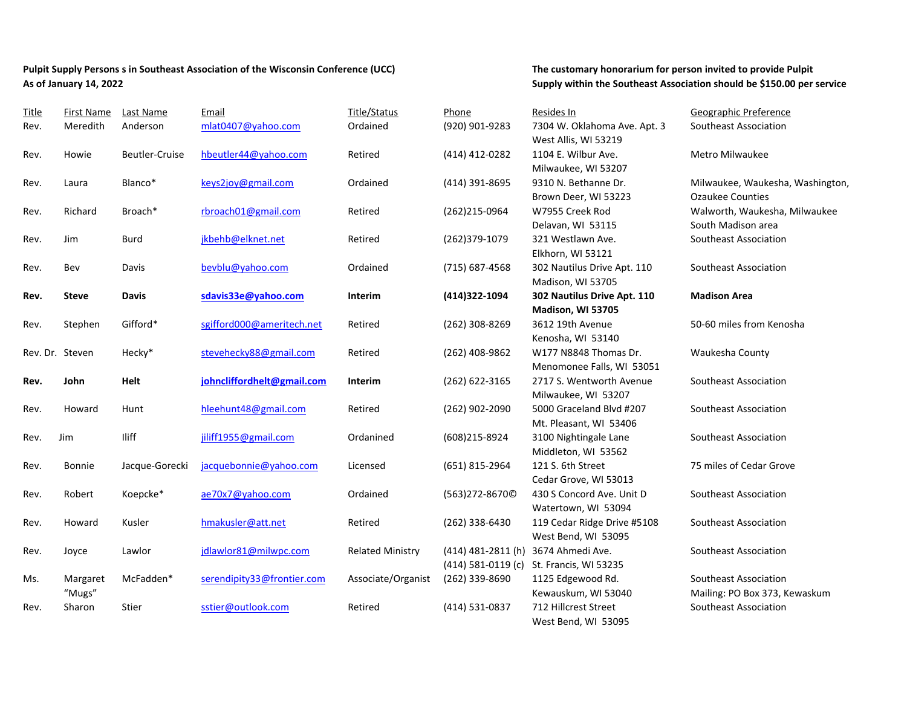## Pulpit Supply Persons s in Southeast Association of the Wisconsin Conference (UCC) **The customary honorarium for person invited to provide Pulpit As of January 14, 2022 Supply within the Southeast Association should be \$150.00 per service**

| <b>Title</b>    | First Name   | Last Name      | Email                      | Title/Status            | Phone                | Resides In                   | Geographic Preference            |
|-----------------|--------------|----------------|----------------------------|-------------------------|----------------------|------------------------------|----------------------------------|
| Rev.            | Meredith     | Anderson       | mlat0407@yahoo.com         | Ordained                | (920) 901-9283       | 7304 W. Oklahoma Ave. Apt. 3 | Southeast Association            |
|                 |              |                |                            |                         |                      | West Allis, WI 53219         |                                  |
| Rev.            | Howie        | Beutler-Cruise | hbeutler44@yahoo.com       | Retired                 | (414) 412-0282       | 1104 E. Wilbur Ave.          | Metro Milwaukee                  |
|                 |              |                |                            |                         |                      | Milwaukee, WI 53207          |                                  |
| Rev.            | Laura        | Blanco*        | keys2joy@gmail.com         | Ordained                | (414) 391-8695       | 9310 N. Bethanne Dr.         | Milwaukee, Waukesha, Washington, |
|                 |              |                |                            |                         |                      | Brown Deer, WI 53223         | <b>Ozaukee Counties</b>          |
| Rev.            | Richard      | Broach*        | rbroach01@gmail.com        | Retired                 | (262)215-0964        | W7955 Creek Rod              | Walworth, Waukesha, Milwaukee    |
|                 |              |                |                            |                         |                      | Delavan, WI 53115            | South Madison area               |
| Rev.            | Jim          | <b>Burd</b>    | jkbehb@elknet.net          | Retired                 | (262)379-1079        | 321 Westlawn Ave.            | Southeast Association            |
|                 |              |                |                            |                         |                      | Elkhorn, WI 53121            |                                  |
| Rev.            | Bev          | Davis          | bevblu@yahoo.com           | Ordained                | (715) 687-4568       | 302 Nautilus Drive Apt. 110  | Southeast Association            |
|                 |              |                |                            |                         |                      | Madison, WI 53705            |                                  |
| Rev.            | <b>Steve</b> | <b>Davis</b>   | sdavis33e@yahoo.com        | Interim                 | (414)322-1094        | 302 Nautilus Drive Apt. 110  | <b>Madison Area</b>              |
|                 |              |                |                            |                         |                      | Madison, WI 53705            |                                  |
| Rev.            | Stephen      | Gifford*       | sgifford000@ameritech.net  | Retired                 | (262) 308-8269       | 3612 19th Avenue             | 50-60 miles from Kenosha         |
|                 |              |                |                            |                         |                      | Kenosha, WI 53140            |                                  |
| Rev. Dr. Steven |              | Hecky*         | stevehecky88@gmail.com     | Retired                 | (262) 408-9862       | W177 N8848 Thomas Dr.        | Waukesha County                  |
|                 |              |                |                            |                         |                      | Menomonee Falls, WI 53051    |                                  |
| Rev.            | John         | Helt           | johncliffordhelt@gmail.com | Interim                 | (262) 622-3165       | 2717 S. Wentworth Avenue     | Southeast Association            |
|                 |              |                |                            |                         |                      | Milwaukee, WI 53207          |                                  |
| Rev.            | Howard       | Hunt           | hleehunt48@gmail.com       | Retired                 | (262) 902-2090       | 5000 Graceland Blvd #207     | Southeast Association            |
|                 |              |                |                            |                         |                      | Mt. Pleasant, WI 53406       |                                  |
| Rev.            | Jim          | Iliff          | jiliff1955@gmail.com       | Ordanined               | (608)215-8924        | 3100 Nightingale Lane        | Southeast Association            |
|                 |              |                |                            |                         |                      | Middleton, WI 53562          |                                  |
| Rev.            | Bonnie       | Jacque-Gorecki | jacquebonnie@yahoo.com     | Licensed                | (651) 815-2964       | 121 S. 6th Street            | 75 miles of Cedar Grove          |
|                 |              |                |                            |                         |                      | Cedar Grove, WI 53013        |                                  |
| Rev.            | Robert       | Koepcke*       | ae70x7@yahoo.com           | Ordained                | (563)272-8670©       | 430 S Concord Ave. Unit D    | Southeast Association            |
|                 |              |                |                            |                         |                      | Watertown, WI 53094          |                                  |
| Rev.            | Howard       | Kusler         | hmakusler@att.net          | Retired                 | (262) 338-6430       | 119 Cedar Ridge Drive #5108  | Southeast Association            |
|                 |              |                |                            |                         |                      | West Bend, WI 53095          |                                  |
| Rev.            | Joyce        | Lawlor         | jdlawlor81@milwpc.com      | <b>Related Ministry</b> | (414) 481-2811 (h)   | 3674 Ahmedi Ave.             | Southeast Association            |
|                 |              |                |                            |                         | $(414)$ 581-0119 (c) | St. Francis, WI 53235        |                                  |
| Ms.             | Margaret     | McFadden*      | serendipity33@frontier.com | Associate/Organist      | (262) 339-8690       | 1125 Edgewood Rd.            | Southeast Association            |
|                 | "Mugs"       |                |                            |                         |                      | Kewauskum, WI 53040          | Mailing: PO Box 373, Kewaskum    |
| Rev.            | Sharon       | Stier          | sstier@outlook.com         | Retired                 | (414) 531-0837       | 712 Hillcrest Street         | Southeast Association            |
|                 |              |                |                            |                         |                      | West Bend, WI 53095          |                                  |